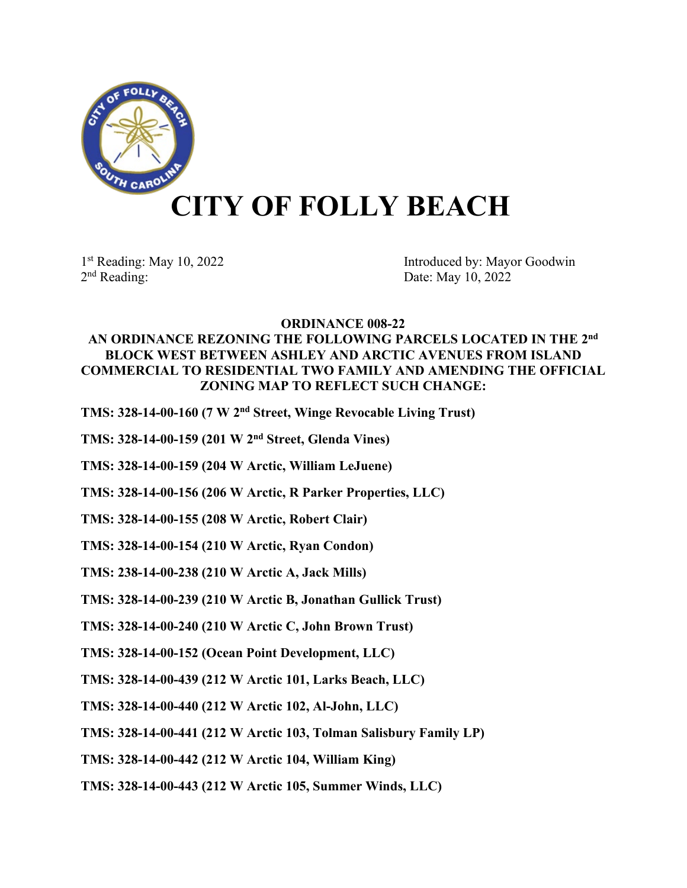

## **CITY OF FOLLY BEACH**

1st Reading: May 10, 2022<br>
2<sup>nd</sup> Reading: Date: May 10, 2022<br>
2<sup>nd</sup> Reading: Date: May 10, 2022 Date: May 10, 2022

## **ORDINANCE 008-22**

## **AN ORDINANCE REZONING THE FOLLOWING PARCELS LOCATED IN THE 2nd BLOCK WEST BETWEEN ASHLEY AND ARCTIC AVENUES FROM ISLAND COMMERCIAL TO RESIDENTIAL TWO FAMILY AND AMENDING THE OFFICIAL ZONING MAP TO REFLECT SUCH CHANGE:**

**TMS: 328-14-00-160 (7 W 2nd Street, Winge Revocable Living Trust)**

- **TMS: 328-14-00-159 (201 W 2nd Street, Glenda Vines)**
- **TMS: 328-14-00-159 (204 W Arctic, William LeJuene)**
- **TMS: 328-14-00-156 (206 W Arctic, R Parker Properties, LLC)**
- **TMS: 328-14-00-155 (208 W Arctic, Robert Clair)**

**TMS: 328-14-00-154 (210 W Arctic, Ryan Condon)**

**TMS: 238-14-00-238 (210 W Arctic A, Jack Mills)**

- **TMS: 328-14-00-239 (210 W Arctic B, Jonathan Gullick Trust)**
- **TMS: 328-14-00-240 (210 W Arctic C, John Brown Trust)**
- **TMS: 328-14-00-152 (Ocean Point Development, LLC)**
- **TMS: 328-14-00-439 (212 W Arctic 101, Larks Beach, LLC)**
- **TMS: 328-14-00-440 (212 W Arctic 102, Al-John, LLC)**
- **TMS: 328-14-00-441 (212 W Arctic 103, Tolman Salisbury Family LP)**
- **TMS: 328-14-00-442 (212 W Arctic 104, William King)**
- **TMS: 328-14-00-443 (212 W Arctic 105, Summer Winds, LLC)**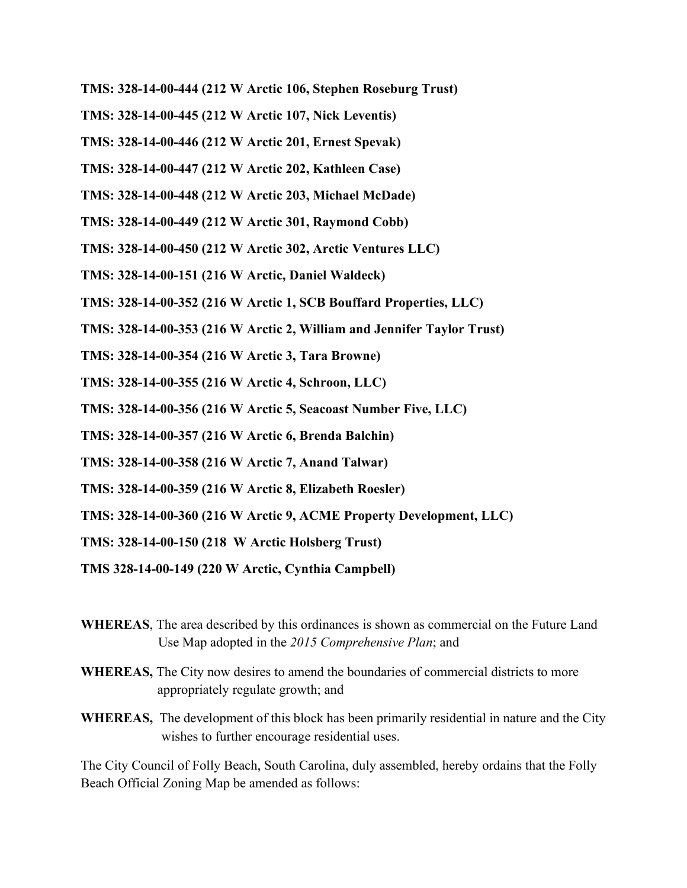- **TMS: 328-14-00-444 (212 W Arctic 106, Stephen Roseburg Trust)**
- **TMS: 328-14-00-445 (212 W Arctic 107, Nick Leventis)**
- **TMS: 328-14-00-446 (212 W Arctic 201, Ernest Spevak)**
- **TMS: 328-14-00-447 (212 W Arctic 202, Kathleen Case)**
- **TMS: 328-14-00-448 (212 W Arctic 203, Michael McDade)**
- **TMS: 328-14-00-449 (212 W Arctic 301, Raymond Cobb)**
- **TMS: 328-14-00-450 (212 W Arctic 302, Arctic Ventures LLC)**
- **TMS: 328-14-00-151 (216 W Arctic, Daniel Waldeck)**
- **TMS: 328-14-00-352 (216 W Arctic 1, SCB Bouffard Properties, LLC)**
- **TMS: 328-14-00-353 (216 W Arctic 2, William and Jennifer Taylor Trust)**
- **TMS: 328-14-00-354 (216 W Arctic 3, Tara Browne)**
- **TMS: 328-14-00-355 (216 W Arctic 4, Schroon, LLC)**
- **TMS: 328-14-00-356 (216 W Arctic 5, Seacoast Number Five, LLC)**
- **TMS: 328-14-00-357 (216 W Arctic 6, Brenda Balchin)**
- **TMS: 328-14-00-358 (216 W Arctic 7, Anand Talwar)**
- **TMS: 328-14-00-359 (216 W Arctic 8, Elizabeth Roesler)**
- **TMS: 328-14-00-360 (216 W Arctic 9, ACME Property Development, LLC)**
- **TMS: 328-14-00-150 (218 W Arctic Holsberg Trust)**
- **TMS 328-14-00-149 (220 W Arctic, Cynthia Campbell)**
- **WHEREAS**, The area described by this ordinances is shown as commercial on the Future Land Use Map adopted in the *2015 Comprehensive Plan*; and
- **WHEREAS,** The City now desires to amend the boundaries of commercial districts to more appropriately regulate growth; and
- **WHEREAS,** The development of this block has been primarily residential in nature and the City wishes to further encourage residential uses.

The City Council of Folly Beach, South Carolina, duly assembled, hereby ordains that the Folly Beach Official Zoning Map be amended as follows: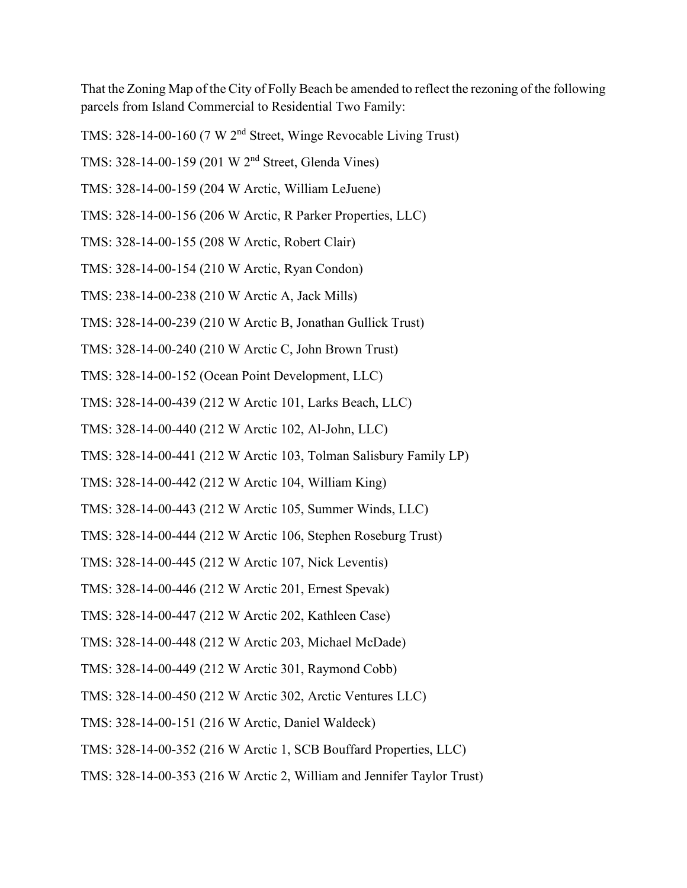That the Zoning Map of the City of Folly Beach be amended to reflect the rezoning of the following parcels from Island Commercial to Residential Two Family:

- TMS: 328-14-00-160 (7 W 2nd Street, Winge Revocable Living Trust)
- TMS: 328-14-00-159 (201 W 2nd Street, Glenda Vines)
- TMS: 328-14-00-159 (204 W Arctic, William LeJuene)
- TMS: 328-14-00-156 (206 W Arctic, R Parker Properties, LLC)
- TMS: 328-14-00-155 (208 W Arctic, Robert Clair)
- TMS: 328-14-00-154 (210 W Arctic, Ryan Condon)
- TMS: 238-14-00-238 (210 W Arctic A, Jack Mills)
- TMS: 328-14-00-239 (210 W Arctic B, Jonathan Gullick Trust)
- TMS: 328-14-00-240 (210 W Arctic C, John Brown Trust)
- TMS: 328-14-00-152 (Ocean Point Development, LLC)
- TMS: 328-14-00-439 (212 W Arctic 101, Larks Beach, LLC)
- TMS: 328-14-00-440 (212 W Arctic 102, Al-John, LLC)
- TMS: 328-14-00-441 (212 W Arctic 103, Tolman Salisbury Family LP)
- TMS: 328-14-00-442 (212 W Arctic 104, William King)
- TMS: 328-14-00-443 (212 W Arctic 105, Summer Winds, LLC)
- TMS: 328-14-00-444 (212 W Arctic 106, Stephen Roseburg Trust)
- TMS: 328-14-00-445 (212 W Arctic 107, Nick Leventis)
- TMS: 328-14-00-446 (212 W Arctic 201, Ernest Spevak)
- TMS: 328-14-00-447 (212 W Arctic 202, Kathleen Case)
- TMS: 328-14-00-448 (212 W Arctic 203, Michael McDade)
- TMS: 328-14-00-449 (212 W Arctic 301, Raymond Cobb)
- TMS: 328-14-00-450 (212 W Arctic 302, Arctic Ventures LLC)
- TMS: 328-14-00-151 (216 W Arctic, Daniel Waldeck)
- TMS: 328-14-00-352 (216 W Arctic 1, SCB Bouffard Properties, LLC)
- TMS: 328-14-00-353 (216 W Arctic 2, William and Jennifer Taylor Trust)